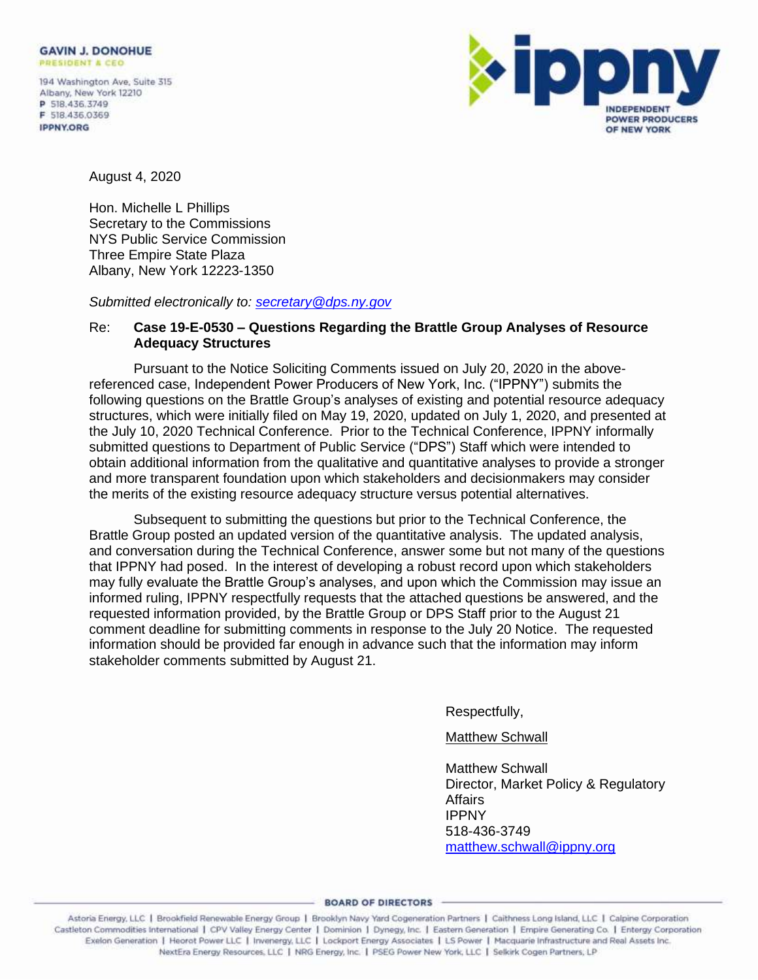194 Washington Ave, Suite 315 Albany, New York 12210 P 518.436.3749 F 518.436.0369 **IPPNY.ORG** 



August 4, 2020

Hon. Michelle L Phillips Secretary to the Commissions NYS Public Service Commission Three Empire State Plaza Albany, New York 12223-1350

*Submitted electronically to: [secretary@dps.ny.gov](mailto:secretary@dps.ny.gov)*

## Re: **Case 19-E-0530 – Questions Regarding the Brattle Group Analyses of Resource Adequacy Structures**

Pursuant to the Notice Soliciting Comments issued on July 20, 2020 in the abovereferenced case, Independent Power Producers of New York, Inc. ("IPPNY") submits the following questions on the Brattle Group's analyses of existing and potential resource adequacy structures, which were initially filed on May 19, 2020, updated on July 1, 2020, and presented at the July 10, 2020 Technical Conference. Prior to the Technical Conference, IPPNY informally submitted questions to Department of Public Service ("DPS") Staff which were intended to obtain additional information from the qualitative and quantitative analyses to provide a stronger and more transparent foundation upon which stakeholders and decisionmakers may consider the merits of the existing resource adequacy structure versus potential alternatives.

Subsequent to submitting the questions but prior to the Technical Conference, the Brattle Group posted an updated version of the quantitative analysis. The updated analysis, and conversation during the Technical Conference, answer some but not many of the questions that IPPNY had posed. In the interest of developing a robust record upon which stakeholders may fully evaluate the Brattle Group's analyses, and upon which the Commission may issue an informed ruling, IPPNY respectfully requests that the attached questions be answered, and the requested information provided, by the Brattle Group or DPS Staff prior to the August 21 comment deadline for submitting comments in response to the July 20 Notice. The requested information should be provided far enough in advance such that the information may inform stakeholder comments submitted by August 21.

Respectfully,

## Matthew Schwall

Matthew Schwall Director, Market Policy & Regulatory Affairs IPPNY 518-436-3749 [matthew.schwall@ippny.org](mailto:matthew.schwall@ippny.org)

0 Castleton Commodities International | CPV Valley Energy Center | Dominion | Dynegy, Inc. | Eastern Generation | Empire Generating Co. | Entergy Corporation Exelon Generation | Heorot Power LLC | Invenergy, LLC | Lockport Energy Associates | LS Power | Macquarie Infrastructure and Real Assets Inc. NextEra Energy Resources, LLC | NRG Energy, Inc. | PSEG Power New York, LLC | Selkirk Cogen Partners, LP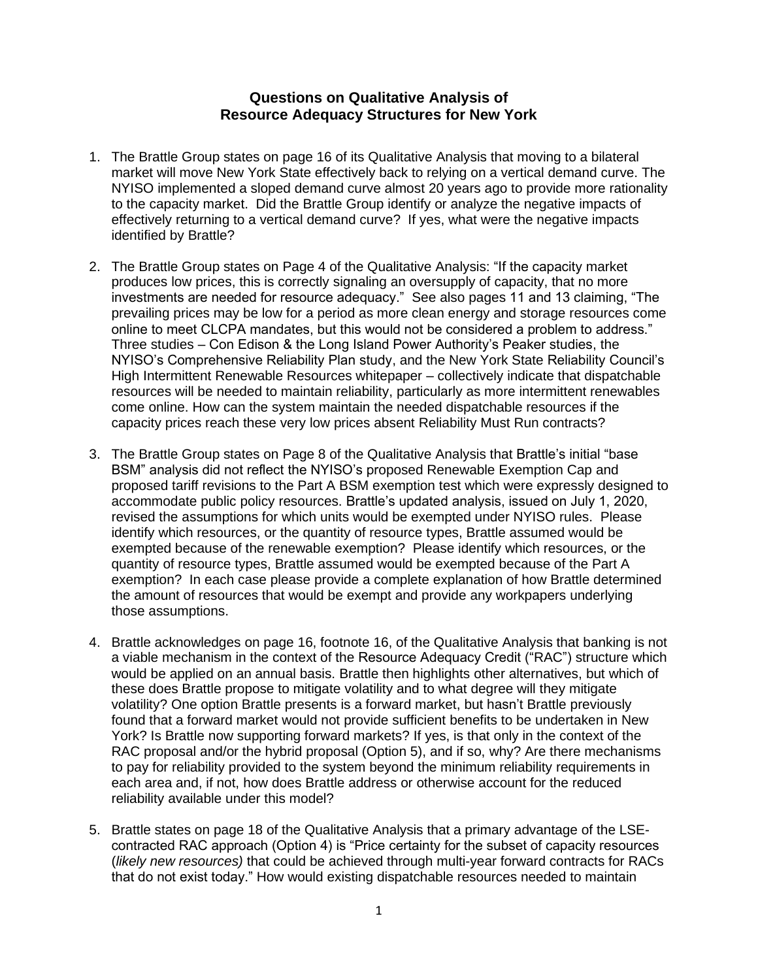## **Questions on Qualitative Analysis of Resource Adequacy Structures for New York**

- 1. The Brattle Group states on page 16 of its Qualitative Analysis that moving to a bilateral market will move New York State effectively back to relying on a vertical demand curve. The NYISO implemented a sloped demand curve almost 20 years ago to provide more rationality to the capacity market. Did the Brattle Group identify or analyze the negative impacts of effectively returning to a vertical demand curve? If yes, what were the negative impacts identified by Brattle?
- 2. The Brattle Group states on Page 4 of the Qualitative Analysis: "If the capacity market produces low prices, this is correctly signaling an oversupply of capacity, that no more investments are needed for resource adequacy." See also pages 11 and 13 claiming, "The prevailing prices may be low for a period as more clean energy and storage resources come online to meet CLCPA mandates, but this would not be considered a problem to address." Three studies – Con Edison & the Long Island Power Authority's Peaker studies, the NYISO's Comprehensive Reliability Plan study, and the New York State Reliability Council's High Intermittent Renewable Resources whitepaper – collectively indicate that dispatchable resources will be needed to maintain reliability, particularly as more intermittent renewables come online. How can the system maintain the needed dispatchable resources if the capacity prices reach these very low prices absent Reliability Must Run contracts?
- 3. The Brattle Group states on Page 8 of the Qualitative Analysis that Brattle's initial "base BSM" analysis did not reflect the NYISO's proposed Renewable Exemption Cap and proposed tariff revisions to the Part A BSM exemption test which were expressly designed to accommodate public policy resources. Brattle's updated analysis, issued on July 1, 2020, revised the assumptions for which units would be exempted under NYISO rules. Please identify which resources, or the quantity of resource types, Brattle assumed would be exempted because of the renewable exemption? Please identify which resources, or the quantity of resource types, Brattle assumed would be exempted because of the Part A exemption? In each case please provide a complete explanation of how Brattle determined the amount of resources that would be exempt and provide any workpapers underlying those assumptions.
- 4. Brattle acknowledges on page 16, footnote 16, of the Qualitative Analysis that banking is not a viable mechanism in the context of the Resource Adequacy Credit ("RAC") structure which would be applied on an annual basis. Brattle then highlights other alternatives, but which of these does Brattle propose to mitigate volatility and to what degree will they mitigate volatility? One option Brattle presents is a forward market, but hasn't Brattle previously found that a forward market would not provide sufficient benefits to be undertaken in New York? Is Brattle now supporting forward markets? If yes, is that only in the context of the RAC proposal and/or the hybrid proposal (Option 5), and if so, why? Are there mechanisms to pay for reliability provided to the system beyond the minimum reliability requirements in each area and, if not, how does Brattle address or otherwise account for the reduced reliability available under this model?
- 5. Brattle states on page 18 of the Qualitative Analysis that a primary advantage of the LSEcontracted RAC approach (Option 4) is "Price certainty for the subset of capacity resources (*likely new resources)* that could be achieved through multi-year forward contracts for RACs that do not exist today." How would existing dispatchable resources needed to maintain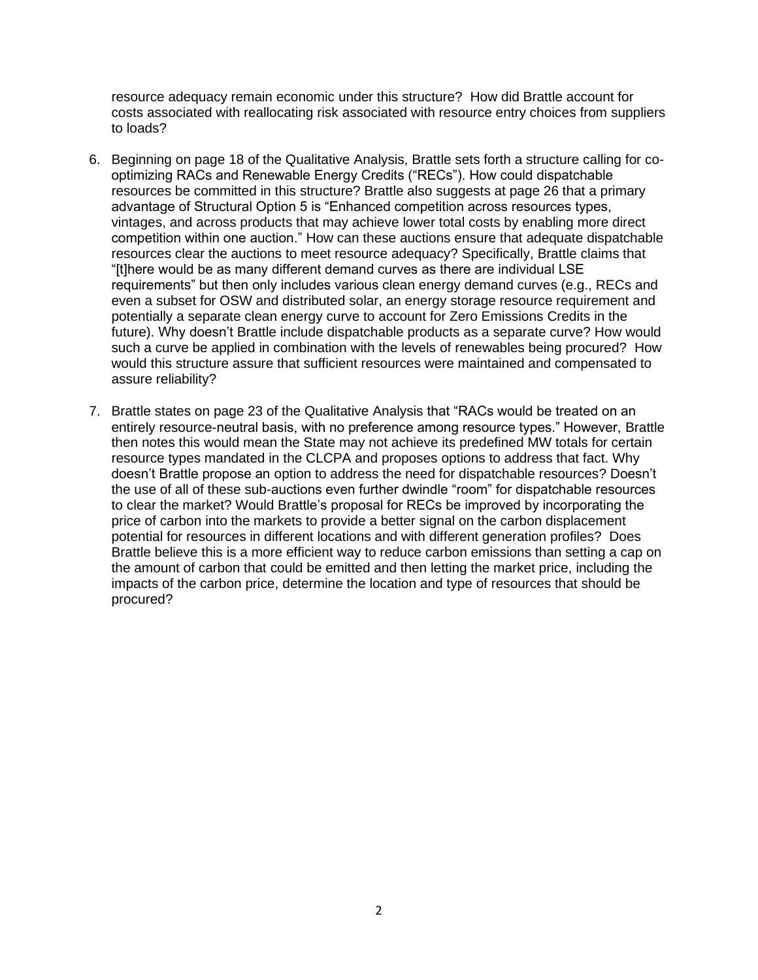resource adequacy remain economic under this structure? How did Brattle account for costs associated with reallocating risk associated with resource entry choices from suppliers to loads?

- 6. Beginning on page 18 of the Qualitative Analysis, Brattle sets forth a structure calling for cooptimizing RACs and Renewable Energy Credits ("RECs"). How could dispatchable resources be committed in this structure? Brattle also suggests at page 26 that a primary advantage of Structural Option 5 is "Enhanced competition across resources types, vintages, and across products that may achieve lower total costs by enabling more direct competition within one auction." How can these auctions ensure that adequate dispatchable resources clear the auctions to meet resource adequacy? Specifically, Brattle claims that "[t]here would be as many different demand curves as there are individual LSE requirements" but then only includes various clean energy demand curves (e.g., RECs and even a subset for OSW and distributed solar, an energy storage resource requirement and potentially a separate clean energy curve to account for Zero Emissions Credits in the future). Why doesn't Brattle include dispatchable products as a separate curve? How would such a curve be applied in combination with the levels of renewables being procured? How would this structure assure that sufficient resources were maintained and compensated to assure reliability?
- 7. Brattle states on page 23 of the Qualitative Analysis that "RACs would be treated on an entirely resource-neutral basis, with no preference among resource types." However, Brattle then notes this would mean the State may not achieve its predefined MW totals for certain resource types mandated in the CLCPA and proposes options to address that fact. Why doesn't Brattle propose an option to address the need for dispatchable resources? Doesn't the use of all of these sub-auctions even further dwindle "room" for dispatchable resources to clear the market? Would Brattle's proposal for RECs be improved by incorporating the price of carbon into the markets to provide a better signal on the carbon displacement potential for resources in different locations and with different generation profiles? Does Brattle believe this is a more efficient way to reduce carbon emissions than setting a cap on the amount of carbon that could be emitted and then letting the market price, including the impacts of the carbon price, determine the location and type of resources that should be procured?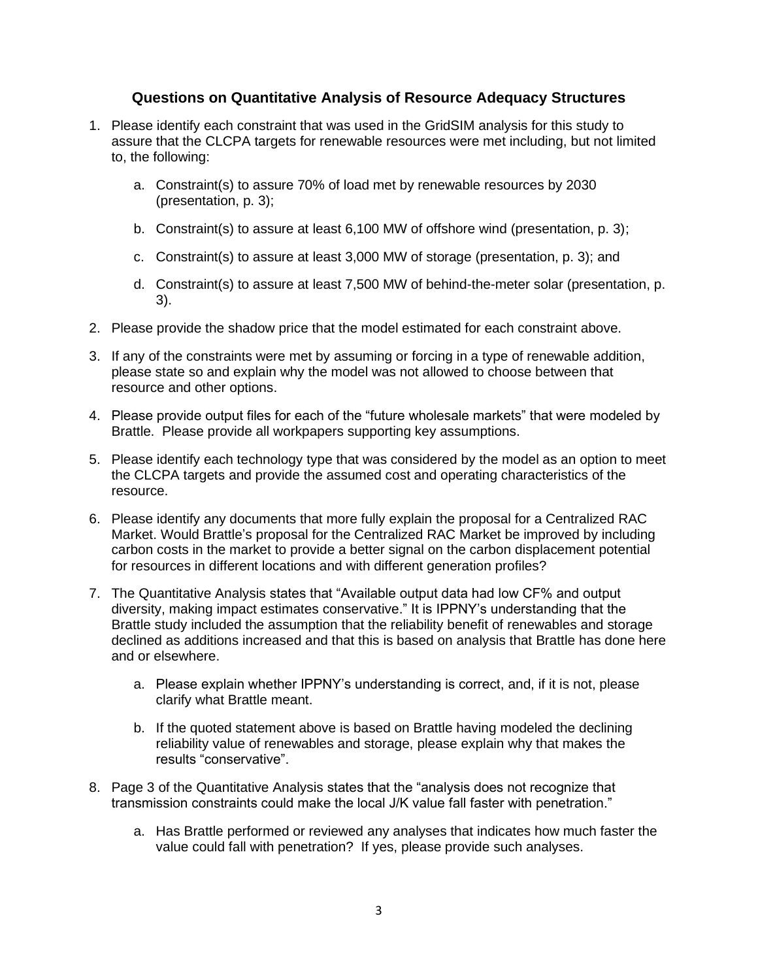## **Questions on Quantitative Analysis of Resource Adequacy Structures**

- 1. Please identify each constraint that was used in the GridSIM analysis for this study to assure that the CLCPA targets for renewable resources were met including, but not limited to, the following:
	- a. Constraint(s) to assure 70% of load met by renewable resources by 2030 (presentation, p. 3);
	- b. Constraint(s) to assure at least 6,100 MW of offshore wind (presentation, p. 3);
	- c. Constraint(s) to assure at least 3,000 MW of storage (presentation, p. 3); and
	- d. Constraint(s) to assure at least 7,500 MW of behind-the-meter solar (presentation, p. 3).
- 2. Please provide the shadow price that the model estimated for each constraint above.
- 3. If any of the constraints were met by assuming or forcing in a type of renewable addition, please state so and explain why the model was not allowed to choose between that resource and other options.
- 4. Please provide output files for each of the "future wholesale markets" that were modeled by Brattle. Please provide all workpapers supporting key assumptions.
- 5. Please identify each technology type that was considered by the model as an option to meet the CLCPA targets and provide the assumed cost and operating characteristics of the resource.
- 6. Please identify any documents that more fully explain the proposal for a Centralized RAC Market. Would Brattle's proposal for the Centralized RAC Market be improved by including carbon costs in the market to provide a better signal on the carbon displacement potential for resources in different locations and with different generation profiles?
- 7. The Quantitative Analysis states that "Available output data had low CF% and output diversity, making impact estimates conservative." It is IPPNY's understanding that the Brattle study included the assumption that the reliability benefit of renewables and storage declined as additions increased and that this is based on analysis that Brattle has done here and or elsewhere.
	- a. Please explain whether IPPNY's understanding is correct, and, if it is not, please clarify what Brattle meant.
	- b. If the quoted statement above is based on Brattle having modeled the declining reliability value of renewables and storage, please explain why that makes the results "conservative".
- 8. Page 3 of the Quantitative Analysis states that the "analysis does not recognize that transmission constraints could make the local J/K value fall faster with penetration."
	- a. Has Brattle performed or reviewed any analyses that indicates how much faster the value could fall with penetration? If yes, please provide such analyses.